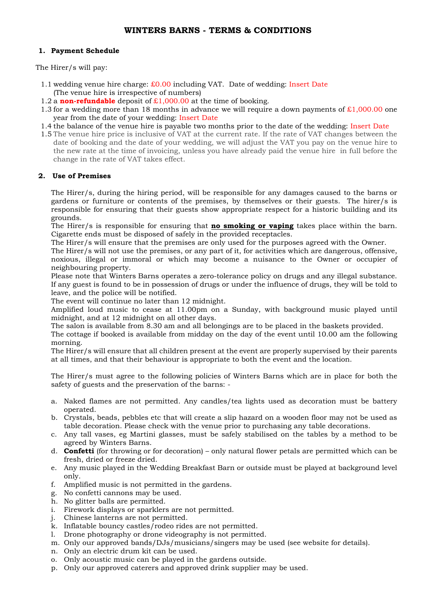# **WINTERS BARNS - TERMS & CONDITIONS**

### **1. Payment Schedule**

The Hirer/s will pay:

- 1.1 wedding venue hire charge:  $\text{\pounds}0.00$  including VAT. Date of wedding: Insert Date (The venue hire is irrespective of numbers)
- 1.2 a **non-refundable** deposit of  $\pounds$ 1,000.00 at the time of booking.
- 1.3 for a wedding more than 18 months in advance we will require a down payments of  $\text{\pounds}1,000.00$  one year from the date of your wedding: Insert Date
- 1.4 the balance of the venue hire is payable two months prior to the date of the wedding: Insert Date
- 1.5 The venue hire price is inclusive of VAT at the current rate. If the rate of VAT changes between the date of booking and the date of your wedding, we will adjust the VAT you pay on the venue hire to the new rate at the time of invoicing, unless you have already paid the venue hire in full before the change in the rate of VAT takes effect.

### **2. Use of Premises**

The Hirer/s, during the hiring period, will be responsible for any damages caused to the barns or gardens or furniture or contents of the premises, by themselves or their guests. The hirer/s is responsible for ensuring that their guests show appropriate respect for a historic building and its grounds.

The Hirer/s is responsible for ensuring that **no smoking or vaping** takes place within the barn. Cigarette ends must be disposed of safely in the provided receptacles.

The Hirer/s will ensure that the premises are only used for the purposes agreed with the Owner.

The Hirer/s will not use the premises, or any part of it, for activities which are dangerous, offensive, noxious, illegal or immoral or which may become a nuisance to the Owner or occupier of neighbouring property.

Please note that Winters Barns operates a zero-tolerance policy on drugs and any illegal substance. If any guest is found to be in possession of drugs or under the influence of drugs, they will be told to leave, and the police will be notified.

The event will continue no later than 12 midnight.

Amplified loud music to cease at 11.00pm on a Sunday, with background music played until midnight, and at 12 midnight on all other days.

The salon is available from 8.30 am and all belongings are to be placed in the baskets provided.

The cottage if booked is available from midday on the day of the event until 10.00 am the following morning.

The Hirer/s will ensure that all children present at the event are properly supervised by their parents at all times, and that their behaviour is appropriate to both the event and the location.

The Hirer/s must agree to the following policies of Winters Barns which are in place for both the safety of guests and the preservation of the barns: -

- a. Naked flames are not permitted. Any candles/tea lights used as decoration must be battery operated.
- b. Crystals, beads, pebbles etc that will create a slip hazard on a wooden floor may not be used as table decoration. Please check with the venue prior to purchasing any table decorations.
- c. Any tall vases, eg Martini glasses, must be safely stabilised on the tables by a method to be agreed by Winters Barns.
- d. **Confetti** (for throwing or for decoration) only natural flower petals are permitted which can be fresh, dried or freeze dried.
- e. Any music played in the Wedding Breakfast Barn or outside must be played at background level only.
- f. Amplified music is not permitted in the gardens.
- g. No confetti cannons may be used.
- h. No glitter balls are permitted.
- i. Firework displays or sparklers are not permitted.
- j. Chinese lanterns are not permitted.
- k. Inflatable bouncy castles/rodeo rides are not permitted.
- l. Drone photography or drone videography is not permitted.
- m. Only our approved bands/DJs/musicians/singers may be used (see website for details).
- n. Only an electric drum kit can be used.
- o. Only acoustic music can be played in the gardens outside.
- p. Only our approved caterers and approved drink supplier may be used.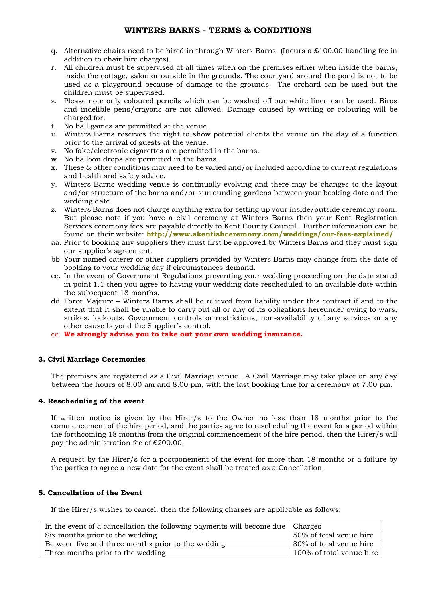## **WINTERS BARNS - TERMS & CONDITIONS**

- q. Alternative chairs need to be hired in through Winters Barns. (Incurs a £100.00 handling fee in addition to chair hire charges).
- r. All children must be supervised at all times when on the premises either when inside the barns, inside the cottage, salon or outside in the grounds. The courtyard around the pond is not to be used as a playground because of damage to the grounds. The orchard can be used but the children must be supervised.
- s. Please note only coloured pencils which can be washed off our white linen can be used. Biros and indelible pens/crayons are not allowed. Damage caused by writing or colouring will be charged for.
- t. No ball games are permitted at the venue.
- u. Winters Barns reserves the right to show potential clients the venue on the day of a function prior to the arrival of guests at the venue.
- v. No fake/electronic cigarettes are permitted in the barns.
- w. No balloon drops are permitted in the barns.
- x. These & other conditions may need to be varied and/or included according to current regulations and health and safety advice.
- y. Winters Barns wedding venue is continually evolving and there may be changes to the layout and/or structure of the barns and/or surrounding gardens between your booking date and the wedding date.
- z. Winters Barns does not charge anything extra for setting up your inside/outside ceremony room. But please note if you have a civil ceremony at Winters Barns then your Kent Registration Services ceremony fees are payable directly to Kent County Council. Further information can be found on their website: **<http://www.akentishceremony.com/weddings/our-fees-explained/>**
- aa. Prior to booking any suppliers they must first be approved by Winters Barns and they must sign our supplier's agreement.
- bb. Your named caterer or other suppliers provided by Winters Barns may change from the date of booking to your wedding day if circumstances demand.
- cc. In the event of Government Regulations preventing your wedding proceeding on the date stated in point 1.1 then you agree to having your wedding date rescheduled to an available date within the subsequent 18 months.
- dd. Force Majeure Winters Barns shall be relieved from liability under this contract if and to the extent that it shall be unable to carry out all or any of its obligations hereunder owing to wars, strikes, lockouts, Government controls or restrictions, non-availability of any services or any other cause beyond the Supplier's control.
- ee. **We strongly advise you to take out your own wedding insurance.**

#### **3. Civil Marriage Ceremonies**

The premises are registered as a Civil Marriage venue. A Civil Marriage may take place on any day between the hours of 8.00 am and 8.00 pm, with the last booking time for a ceremony at 7.00 pm.

#### **4. Rescheduling of the event**

If written notice is given by the Hirer/s to the Owner no less than 18 months prior to the commencement of the hire period, and the parties agree to rescheduling the event for a period within the forthcoming 18 months from the original commencement of the hire period, then the Hirer/s will pay the administration fee of £200.00.

A request by the Hirer/s for a postponement of the event for more than 18 months or a failure by the parties to agree a new date for the event shall be treated as a Cancellation.

#### **5. Cancellation of the Event**

If the Hirer/s wishes to cancel, then the following charges are applicable as follows:

| In the event of a cancellation the following payments will become due   Charges |                          |
|---------------------------------------------------------------------------------|--------------------------|
| Six months prior to the wedding                                                 | 50% of total venue hire  |
| Between five and three months prior to the wedding                              | 80% of total venue hire  |
| Three months prior to the wedding                                               | 100% of total venue hire |